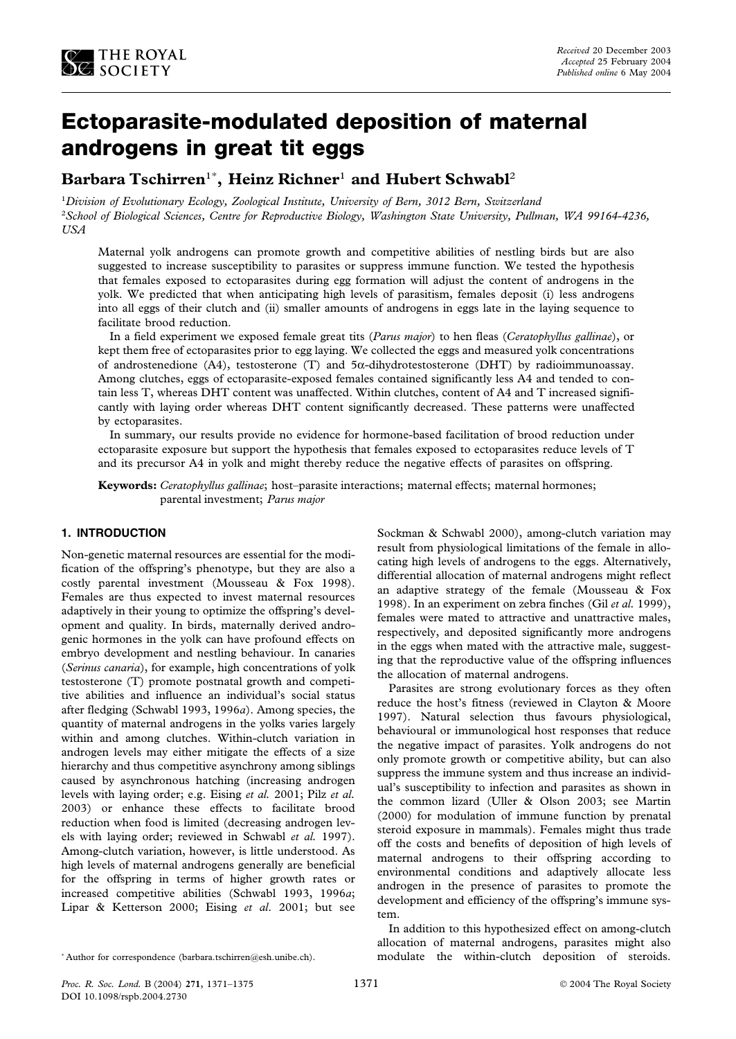

# **Ectoparasite-modulated deposition of maternal androgens in great tit eggs**

# **Barbara Tschirren**<sup>1</sup>\* **, Heinz Richner**<sup>1</sup> **and Hubert Schwabl**<sup>2</sup>

1 *Division of Evolutionary Ecology, Zoological Institute, University of Bern, 3012 Bern, Switzerland* 2 *School of Biological Sciences, Centre for Reproductive Biology, Washington State University, Pullman, WA 99164-4236, USA*

Maternal yolk androgens can promote growth and competitive abilities of nestling birds but are also suggested to increase susceptibility to parasites or suppress immune function. We tested the hypothesis that females exposed to ectoparasites during egg formation will adjust the content of androgens in the yolk. We predicted that when anticipating high levels of parasitism, females deposit (i) less androgens into all eggs of their clutch and (ii) smaller amounts of androgens in eggs late in the laying sequence to facilitate brood reduction.

In a field experiment we exposed female great tits (*Parus major*) to hen fleas (*Ceratophyllus gallinae*), or kept them free of ectoparasites prior to egg laying. We collected the eggs and measured yolk concentrations of androstenedione (A4), testosterone (T) and  $5\alpha$ -dihydrotestosterone (DHT) by radioimmunoassay. Among clutches, eggs of ectoparasite-exposed females contained significantly less A4 and tended to contain less T, whereas DHT content was unaffected. Within clutches, content of A4 and T increased significantly with laying order whereas DHT content significantly decreased. These patterns were unaffected by ectoparasites.

In summary, our results provide no evidence for hormone-based facilitation of brood reduction under ectoparasite exposure but support the hypothesis that females exposed to ectoparasites reduce levels of T and its precursor A4 in yolk and might thereby reduce the negative effects of parasites on offspring.

**Keywords:** *Ceratophyllus gallinae*; host–parasite interactions; maternal effects; maternal hormones; parental investment; *Parus major*

# **1. INTRODUCTION**

Non-genetic maternal resources are essential for the modification of the offspring's phenotype, but they are also a costly parental investment (Mousseau & Fox 1998). Females are thus expected to invest maternal resources adaptively in their young to optimize the offspring's development and quality. In birds, maternally derived androgenic hormones in the yolk can have profound effects on embryo development and nestling behaviour. In canaries (*Serinus canaria*), for example, high concentrations of yolk testosterone (T) promote postnatal growth and competitive abilities and influence an individual's social status after fledging (Schwabl 1993, 1996*a*). Among species, the quantity of maternal androgens in the yolks varies largely within and among clutches. Within-clutch variation in androgen levels may either mitigate the effects of a size hierarchy and thus competitive asynchrony among siblings caused by asynchronous hatching (increasing androgen levels with laying order; e.g. Eising *et al.* 2001; Pilz *et al.* 2003) or enhance these effects to facilitate brood reduction when food is limited (decreasing androgen levels with laying order; reviewed in Schwabl *et al.* 1997). Among-clutch variation, however, is little understood. As high levels of maternal androgens generally are beneficial for the offspring in terms of higher growth rates or increased competitive abilities (Schwabl 1993, 1996*a*; Lipar & Ketterson 2000; Eising *et al*. 2001; but see

Parasites are strong evolutionary forces as they often reduce the host's fitness (reviewed in Clayton & Moore 1997). Natural selection thus favours physiological, behavioural or immunological host responses that reduce the negative impact of parasites. Yolk androgens do not only promote growth or competitive ability, but can also suppress the immune system and thus increase an individual's susceptibility to infection and parasites as shown in the common lizard (Uller & Olson 2003; see Martin (2000) for modulation of immune function by prenatal steroid exposure in mammals). Females might thus trade off the costs and benefits of deposition of high levels of maternal androgens to their offspring according to environmental conditions and adaptively allocate less androgen in the presence of parasites to promote the development and efficiency of the offspring's immune system.

In addition to this hypothesized effect on among-clutch allocation of maternal androgens, parasites might also modulate the within-clutch deposition of steroids.

Sockman & Schwabl 2000), among-clutch variation may result from physiological limitations of the female in allocating high levels of androgens to the eggs. Alternatively, differential allocation of maternal androgens might reflect an adaptive strategy of the female (Mousseau & Fox 1998). In an experiment on zebra finches (Gil *et al.* 1999), females were mated to attractive and unattractive males, respectively, and deposited significantly more androgens in the eggs when mated with the attractive male, suggesting that the reproductive value of the offspring influences the allocation of maternal androgens.

<sup>\*</sup> Author for correspondence (barbara.tschirren@esh.unibe.ch).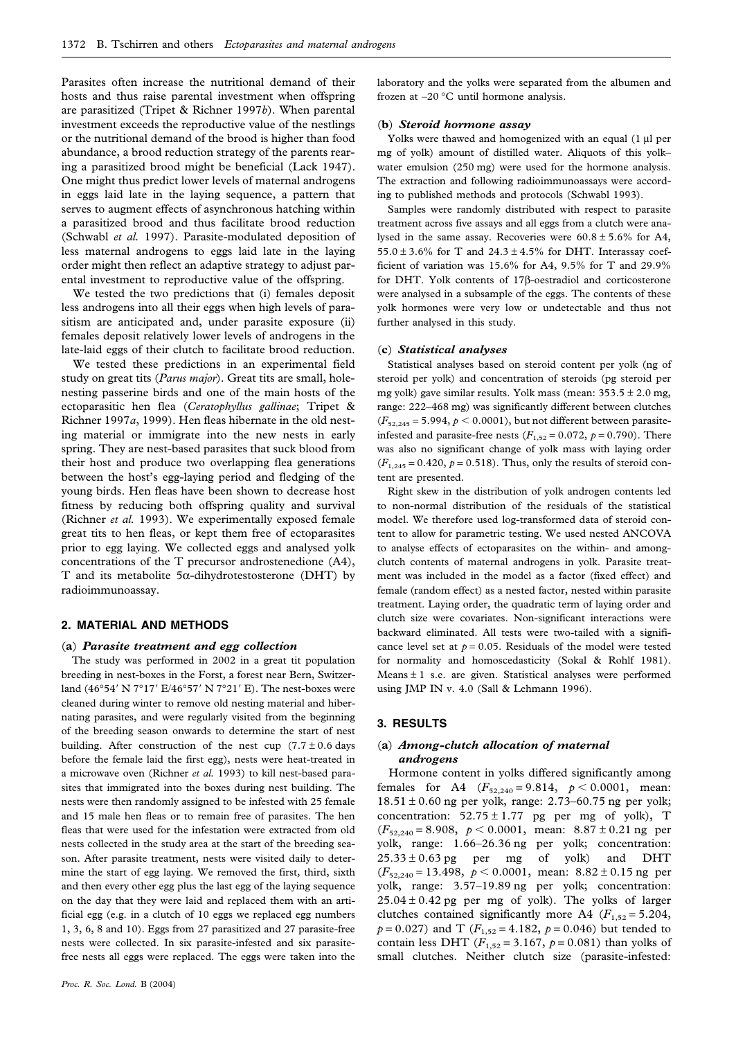Parasites often increase the nutritional demand of their hosts and thus raise parental investment when offspring are parasitized (Tripet & Richner 1997*b*). When parental investment exceeds the reproductive value of the nestlings or the nutritional demand of the brood is higher than food abundance, a brood reduction strategy of the parents rearing a parasitized brood might be beneficial (Lack 1947). One might thus predict lower levels of maternal androgens in eggs laid late in the laying sequence, a pattern that serves to augment effects of asynchronous hatching within a parasitized brood and thus facilitate brood reduction (Schwabl *et al.* 1997). Parasite-modulated deposition of less maternal androgens to eggs laid late in the laying order might then reflect an adaptive strategy to adjust parental investment to reproductive value of the offspring.

We tested the two predictions that (i) females deposit less androgens into all their eggs when high levels of parasitism are anticipated and, under parasite exposure (ii) females deposit relatively lower levels of androgens in the late-laid eggs of their clutch to facilitate brood reduction.

We tested these predictions in an experimental field study on great tits (*Parus major*). Great tits are small, holenesting passerine birds and one of the main hosts of the ectoparasitic hen flea (*Ceratophyllus gallinae*; Tripet & Richner 1997*a*, 1999). Hen fleas hibernate in the old nesting material or immigrate into the new nests in early spring. They are nest-based parasites that suck blood from their host and produce two overlapping flea generations between the host's egg-laying period and fledging of the young birds. Hen fleas have been shown to decrease host fitness by reducing both offspring quality and survival (Richner *et al.* 1993). We experimentally exposed female great tits to hen fleas, or kept them free of ectoparasites prior to egg laying. We collected eggs and analysed yolk concentrations of the T precursor androstenedione (A4), T and its metabolite 5 $\alpha$ -dihydrotestosterone (DHT) by radioimmunoassay.

# **2. MATERIAL AND METHODS**

#### (**a**) *Parasite treatment and egg collection*

The study was performed in 2002 in a great tit population breeding in nest-boxes in the Forst, a forest near Bern, Switzerland (46°54' N 7°17' E/46°57' N 7°21' E). The nest-boxes were cleaned during winter to remove old nesting material and hibernating parasites, and were regularly visited from the beginning of the breeding season onwards to determine the start of nest building. After construction of the nest cup  $(7.7 \pm 0.6$  days before the female laid the first egg), nests were heat-treated in a microwave oven (Richner *et al.* 1993) to kill nest-based parasites that immigrated into the boxes during nest building. The nests were then randomly assigned to be infested with 25 female and 15 male hen fleas or to remain free of parasites. The hen fleas that were used for the infestation were extracted from old nests collected in the study area at the start of the breeding season. After parasite treatment, nests were visited daily to determine the start of egg laying. We removed the first, third, sixth and then every other egg plus the last egg of the laying sequence on the day that they were laid and replaced them with an artificial egg (e.g. in a clutch of 10 eggs we replaced egg numbers 1, 3, 6, 8 and 10). Eggs from 27 parasitized and 27 parasite-free nests were collected. In six parasite-infested and six parasitefree nests all eggs were replaced. The eggs were taken into the

laboratory and the yolks were separated from the albumen and frozen at –20 °C until hormone analysis.

# (**b**) *Steroid hormone assay*

Yolks were thawed and homogenized with an equal (1 µl per mg of yolk) amount of distilled water. Aliquots of this yolk– water emulsion (250 mg) were used for the hormone analysis. The extraction and following radioimmunoassays were according to published methods and protocols (Schwabl 1993).

Samples were randomly distributed with respect to parasite treatment across five assays and all eggs from a clutch were analysed in the same assay. Recoveries were  $60.8 \pm 5.6\%$  for A4, 55.0  $\pm$  3.6% for T and 24.3  $\pm$  4.5% for DHT. Interassay coefficient of variation was 15.6% for A4, 9.5% for T and 29.9% for DHT. Yolk contents of 17β-oestradiol and corticosterone were analysed in a subsample of the eggs. The contents of these yolk hormones were very low or undetectable and thus not further analysed in this study.

#### (**c**) *Statistical analyses*

Statistical analyses based on steroid content per yolk (ng of steroid per yolk) and concentration of steroids (pg steroid per mg yolk) gave similar results. Yolk mass (mean:  $353.5 \pm 2.0$  mg, range: 222–468 mg) was significantly different between clutches  $(F_{52,245} = 5.994, p \le 0.0001)$ , but not different between parasiteinfested and parasite-free nests  $(F_{1,52} = 0.072, p = 0.790)$ . There was also no significant change of yolk mass with laying order  $(F_{1,245} = 0.420, p = 0.518)$ . Thus, only the results of steroid content are presented.

Right skew in the distribution of yolk androgen contents led to non-normal distribution of the residuals of the statistical model. We therefore used log-transformed data of steroid content to allow for parametric testing. We used nested ANCOVA to analyse effects of ectoparasites on the within- and amongclutch contents of maternal androgens in yolk. Parasite treatment was included in the model as a factor (fixed effect) and female (random effect) as a nested factor, nested within parasite treatment. Laying order, the quadratic term of laying order and clutch size were covariates. Non-significant interactions were backward eliminated. All tests were two-tailed with a significance level set at  $p = 0.05$ . Residuals of the model were tested for normality and homoscedasticity (Sokal & Rohlf 1981). Means  $\pm$  1 s.e. are given. Statistical analyses were performed using JMP IN v. 4.0 (Sall & Lehmann 1996).

# **3. RESULTS**

# (**a**) *Among-clutch allocation of maternal androgens*

Hormone content in yolks differed significantly among females for A4  $(F_{52,240} = 9.814, p < 0.0001, \text{ mean}$ :  $18.51 \pm 0.60$  ng per yolk, range: 2.73–60.75 ng per yolk; concentration:  $52.75 \pm 1.77$  pg per mg of yolk), T  $(F_{52,240} = 8.908, p < 0.0001, \text{ mean: } 8.87 \pm 0.21 \text{ ng per}$ yolk, range: 1.66–26.36 ng per yolk; concentration:  $25.33 \pm 0.63$  pg per mg of yolk) and DHT  $(F_{52,240} = 13.498, p < 0.0001, \text{ mean: } 8.82 \pm 0.15 \text{ ng per}$ yolk, range: 3.57–19.89 ng per yolk; concentration:  $25.04 \pm 0.42$  pg per mg of yolk). The yolks of larger clutches contained significantly more A4  $(F_{1,52} = 5.204$ ,  $p = 0.027$ ) and T ( $F_{1,52} = 4.182$ ,  $p = 0.046$ ) but tended to contain less DHT ( $F_{1,52} = 3.167$ ,  $p = 0.081$ ) than yolks of small clutches. Neither clutch size (parasite-infested: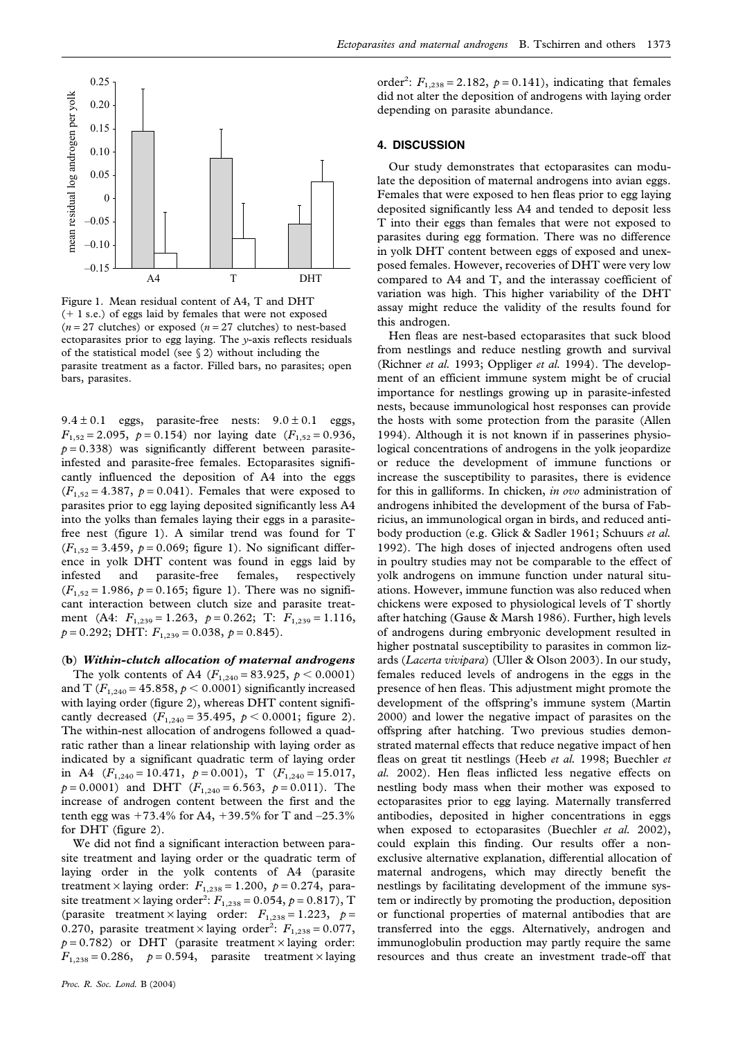

Figure 1. Mean residual content of A4, T and DHT  $(+ 1 s.e.)$  of eggs laid by females that were not exposed  $(n=27 \text{ clutches})$  or exposed  $(n=27 \text{ clutches})$  to nest-based ectoparasites prior to egg laying. The *y*-axis reflects residuals of the statistical model (see  $\S 2$ ) without including the parasite treatment as a factor. Filled bars, no parasites; open bars, parasites.

 $9.4 \pm 0.1$  eggs, parasite-free nests:  $9.0 \pm 0.1$  eggs,  $F_{1,52} = 2.095$ ,  $p = 0.154$ ) nor laying date  $(F_{1,52} = 0.936)$ ,  $p = 0.338$ ) was significantly different between parasiteinfested and parasite-free females. Ectoparasites significantly influenced the deposition of A4 into the eggs  $(F_{1,52} = 4.387, p = 0.041)$ . Females that were exposed to parasites prior to egg laying deposited significantly less A4 into the yolks than females laying their eggs in a parasitefree nest (figure 1). A similar trend was found for T  $(F_{1,52} = 3.459, p = 0.069;$  figure 1). No significant difference in yolk DHT content was found in eggs laid by infested and parasite-free females, respectively  $(F_{1,52} = 1.986, p = 0.165$ ; figure 1). There was no significant interaction between clutch size and parasite treatment (A4:  $F_{1,239} = 1.263$ ,  $p = 0.262$ ; T:  $F_{1,239} = 1.116$ ,  $p = 0.292$ ; DHT:  $F_{1,239} = 0.038$ ,  $p = 0.845$ ).

#### (**b**) *Within-clutch allocation of maternal androgens*

The yolk contents of A4  $(F_{1,240} = 83.925, p \le 0.0001)$ and T  $(F_{1,240} = 45.858, p \le 0.0001)$  significantly increased with laying order (figure 2), whereas DHT content significantly decreased  $(F_{1,240} = 35.495, p < 0.0001;$  figure 2). The within-nest allocation of androgens followed a quadratic rather than a linear relationship with laying order as indicated by a significant quadratic term of laying order in A4  $(F_{1,240} = 10.471, p = 0.001), T$   $(F_{1,240} = 15.017,$  $p = 0.0001$ ) and DHT ( $F_{1,240} = 6.563$ ,  $p = 0.011$ ). The increase of androgen content between the first and the tenth egg was  $+73.4\%$  for A4,  $+39.5\%$  for T and  $-25.3\%$ for DHT (figure 2).

We did not find a significant interaction between parasite treatment and laying order or the quadratic term of laying order in the yolk contents of A4 (parasite treatment × laying order:  $F_{1,238} = 1.200$ ,  $p = 0.274$ , parasite treatment  $\times$  laying order<sup>2</sup>:  $F_{1,238} = 0.054, p = 0.817$ , T (parasite treatment × laying order:  $F_{1,238} = 1.223$ ,  $p =$ 0.270, parasite treatment  $\times$  laying order<sup>2</sup>:  $F_{1,238} = 0.077$ ,  $p = 0.782$ ) or DHT (parasite treatment  $\times$  laying order:  $F_{1,238} = 0.286$ ,  $p = 0.594$ , parasite treatment × laying

order<sup>2</sup>:  $F_{1,238} = 2.182$ ,  $p = 0.141$ ), indicating that females did not alter the deposition of androgens with laying order depending on parasite abundance.

#### **4. DISCUSSION**

Our study demonstrates that ectoparasites can modulate the deposition of maternal androgens into avian eggs. Females that were exposed to hen fleas prior to egg laying deposited significantly less A4 and tended to deposit less T into their eggs than females that were not exposed to parasites during egg formation. There was no difference in yolk DHT content between eggs of exposed and unexposed females. However, recoveries of DHT were very low compared to A4 and T, and the interassay coefficient of variation was high. This higher variability of the DHT assay might reduce the validity of the results found for this androgen.

Hen fleas are nest-based ectoparasites that suck blood from nestlings and reduce nestling growth and survival (Richner *et al.* 1993; Oppliger *et al.* 1994). The development of an efficient immune system might be of crucial importance for nestlings growing up in parasite-infested nests, because immunological host responses can provide the hosts with some protection from the parasite (Allen 1994). Although it is not known if in passerines physiological concentrations of androgens in the yolk jeopardize or reduce the development of immune functions or increase the susceptibility to parasites, there is evidence for this in galliforms. In chicken, *in ovo* administration of androgens inhibited the development of the bursa of Fabricius, an immunological organ in birds, and reduced antibody production (e.g. Glick & Sadler 1961; Schuurs *et al.* 1992). The high doses of injected androgens often used in poultry studies may not be comparable to the effect of yolk androgens on immune function under natural situations. However, immune function was also reduced when chickens were exposed to physiological levels of T shortly after hatching (Gause & Marsh 1986). Further, high levels of androgens during embryonic development resulted in higher postnatal susceptibility to parasites in common lizards (*Lacerta vivipara*) (Uller & Olson 2003). In our study, females reduced levels of androgens in the eggs in the presence of hen fleas. This adjustment might promote the development of the offspring's immune system (Martin 2000) and lower the negative impact of parasites on the offspring after hatching. Two previous studies demonstrated maternal effects that reduce negative impact of hen fleas on great tit nestlings (Heeb *et al.* 1998; Buechler *et al.* 2002). Hen fleas inflicted less negative effects on nestling body mass when their mother was exposed to ectoparasites prior to egg laying. Maternally transferred antibodies, deposited in higher concentrations in eggs when exposed to ectoparasites (Buechler *et al.* 2002), could explain this finding. Our results offer a nonexclusive alternative explanation, differential allocation of maternal androgens, which may directly benefit the nestlings by facilitating development of the immune system or indirectly by promoting the production, deposition or functional properties of maternal antibodies that are transferred into the eggs. Alternatively, androgen and immunoglobulin production may partly require the same resources and thus create an investment trade-off that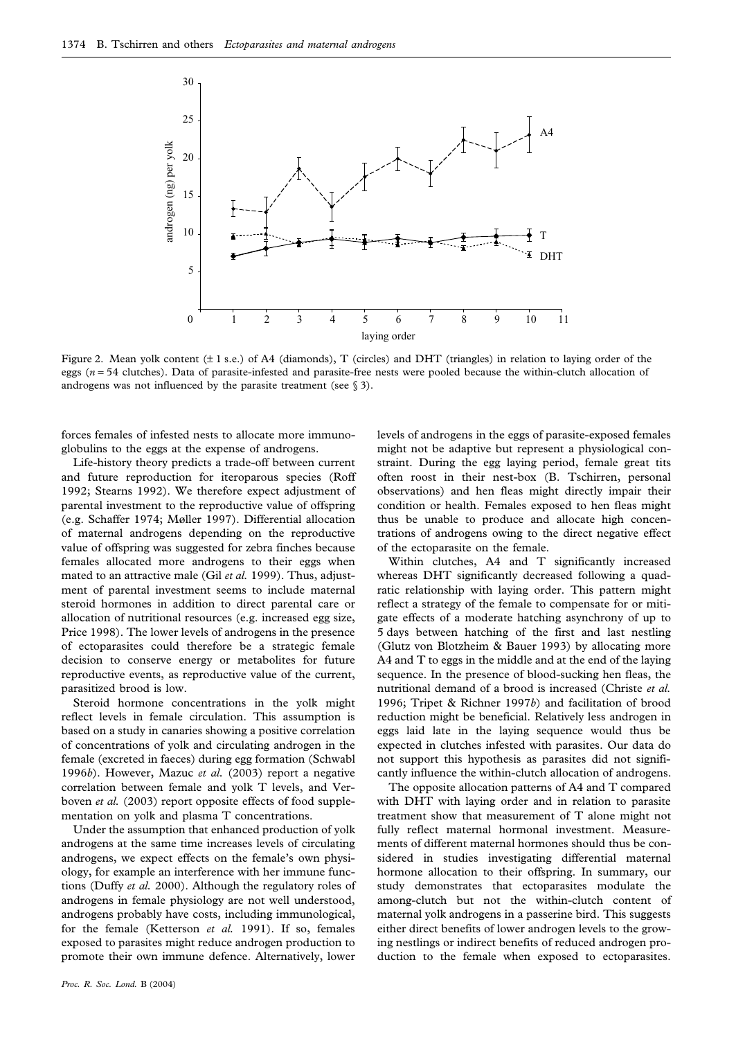

Figure 2. Mean yolk content ( $\pm$  1 s.e.) of A4 (diamonds), T (circles) and DHT (triangles) in relation to laying order of the eggs (*n* = 54 clutches). Data of parasite-infested and parasite-free nests were pooled because the within-clutch allocation of androgens was not influenced by the parasite treatment (see  $\S$  3).

forces females of infested nests to allocate more immunoglobulins to the eggs at the expense of androgens.

Life-history theory predicts a trade-off between current and future reproduction for iteroparous species (Roff 1992; Stearns 1992). We therefore expect adjustment of parental investment to the reproductive value of offspring (e.g. Schaffer 1974; Møller 1997). Differential allocation of maternal androgens depending on the reproductive value of offspring was suggested for zebra finches because females allocated more androgens to their eggs when mated to an attractive male (Gil *et al.* 1999). Thus, adjustment of parental investment seems to include maternal steroid hormones in addition to direct parental care or allocation of nutritional resources (e.g. increased egg size, Price 1998). The lower levels of androgens in the presence of ectoparasites could therefore be a strategic female decision to conserve energy or metabolites for future reproductive events, as reproductive value of the current, parasitized brood is low.

Steroid hormone concentrations in the yolk might reflect levels in female circulation. This assumption is based on a study in canaries showing a positive correlation of concentrations of yolk and circulating androgen in the female (excreted in faeces) during egg formation (Schwabl 1996*b*). However, Mazuc *et al.* (2003) report a negative correlation between female and yolk T levels, and Verboven *et al.* (2003) report opposite effects of food supplementation on yolk and plasma T concentrations.

Under the assumption that enhanced production of yolk androgens at the same time increases levels of circulating androgens, we expect effects on the female's own physiology, for example an interference with her immune functions (Duffy *et al.* 2000). Although the regulatory roles of androgens in female physiology are not well understood, androgens probably have costs, including immunological, for the female (Ketterson *et al.* 1991). If so, females exposed to parasites might reduce androgen production to promote their own immune defence. Alternatively, lower

*Proc. R. Soc. Lond.* B (2004)

levels of androgens in the eggs of parasite-exposed females might not be adaptive but represent a physiological constraint. During the egg laying period, female great tits often roost in their nest-box (B. Tschirren, personal observations) and hen fleas might directly impair their condition or health. Females exposed to hen fleas might thus be unable to produce and allocate high concentrations of androgens owing to the direct negative effect of the ectoparasite on the female.

Within clutches, A4 and T significantly increased whereas DHT significantly decreased following a quadratic relationship with laying order. This pattern might reflect a strategy of the female to compensate for or mitigate effects of a moderate hatching asynchrony of up to 5 days between hatching of the first and last nestling (Glutz von Blotzheim & Bauer 1993) by allocating more A4 and T to eggs in the middle and at the end of the laying sequence. In the presence of blood-sucking hen fleas, the nutritional demand of a brood is increased (Christe *et al.* 1996; Tripet & Richner 1997*b*) and facilitation of brood reduction might be beneficial. Relatively less androgen in eggs laid late in the laying sequence would thus be expected in clutches infested with parasites. Our data do not support this hypothesis as parasites did not significantly influence the within-clutch allocation of androgens.

The opposite allocation patterns of A4 and T compared with DHT with laying order and in relation to parasite treatment show that measurement of T alone might not fully reflect maternal hormonal investment. Measurements of different maternal hormones should thus be considered in studies investigating differential maternal hormone allocation to their offspring. In summary, our study demonstrates that ectoparasites modulate the among-clutch but not the within-clutch content of maternal yolk androgens in a passerine bird. This suggests either direct benefits of lower androgen levels to the growing nestlings or indirect benefits of reduced androgen production to the female when exposed to ectoparasites.